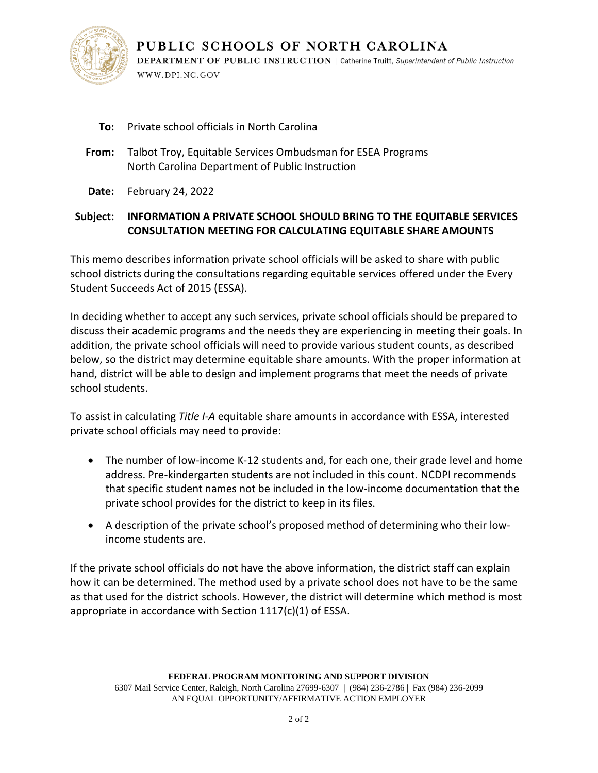

PUBLIC SCHOOLS OF NORTH CAROLINA **DEPARTMENT OF PUBLIC INSTRUCTION** | Catherine Truitt, Superintendent of Public Instruction WWW.DPI.NC.GOV

- **To:** Private school officials in North Carolina
- **From:** Talbot Troy, Equitable Services Ombudsman for ESEA Programs North Carolina Department of Public Instruction
- **Date:** February 24, 2022

## **Subject: INFORMATION A PRIVATE SCHOOL SHOULD BRING TO THE EQUITABLE SERVICES CONSULTATION MEETING FOR CALCULATING EQUITABLE SHARE AMOUNTS**

This memo describes information private school officials will be asked to share with public school districts during the consultations regarding equitable services offered under the Every Student Succeeds Act of 2015 (ESSA).

In deciding whether to accept any such services, private school officials should be prepared to discuss their academic programs and the needs they are experiencing in meeting their goals. In addition, the private school officials will need to provide various student counts, as described below, so the district may determine equitable share amounts. With the proper information at hand, district will be able to design and implement programs that meet the needs of private school students.

To assist in calculating *Title I-A* equitable share amounts in accordance with ESSA, interested private school officials may need to provide:

- The number of low-income K-12 students and, for each one, their grade level and home address. Pre-kindergarten students are not included in this count. NCDPI recommends that specific student names not be included in the low-income documentation that the private school provides for the district to keep in its files.
- A description of the private school's proposed method of determining who their lowincome students are.

If the private school officials do not have the above information, the district staff can explain how it can be determined. The method used by a private school does not have to be the same as that used for the district schools. However, the district will determine which method is most appropriate in accordance with Section 1117(c)(1) of ESSA.